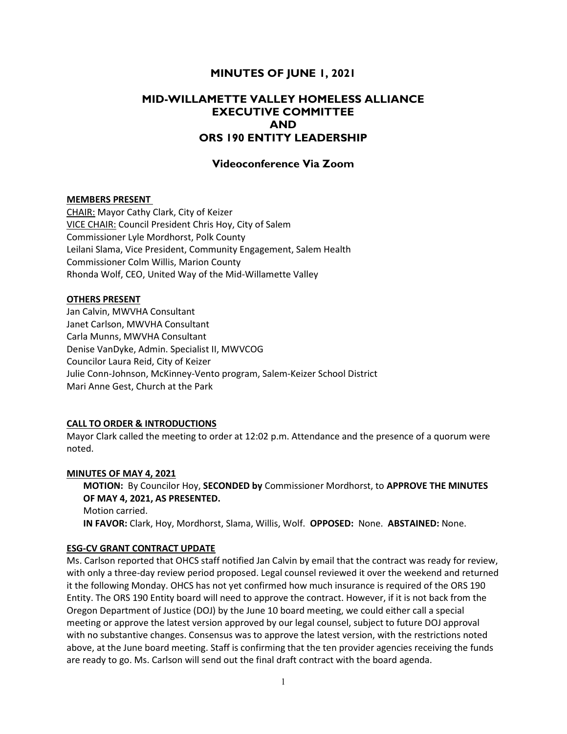## MINUTES OF JUNE 1, 2021

# MID-WILLAMETTE VALLEY HOMELESS ALLIANCE EXECUTIVE COMMITTEE AND ORS 190 ENTITY LEADERSHIP

## Videoconference Via Zoom

#### MEMBERS PRESENT

CHAIR: Mayor Cathy Clark, City of Keizer VICE CHAIR: Council President Chris Hoy, City of Salem Commissioner Lyle Mordhorst, Polk County Leilani Slama, Vice President, Community Engagement, Salem Health Commissioner Colm Willis, Marion County Rhonda Wolf, CEO, United Way of the Mid-Willamette Valley

#### OTHERS PRESENT

Jan Calvin, MWVHA Consultant Janet Carlson, MWVHA Consultant Carla Munns, MWVHA Consultant Denise VanDyke, Admin. Specialist II, MWVCOG Councilor Laura Reid, City of Keizer Julie Conn-Johnson, McKinney-Vento program, Salem-Keizer School District Mari Anne Gest, Church at the Park

#### CALL TO ORDER & INTRODUCTIONS

Mayor Clark called the meeting to order at 12:02 p.m. Attendance and the presence of a quorum were noted.

#### MINUTES OF MAY 4, 2021

MOTION: By Councilor Hoy, SECONDED by Commissioner Mordhorst, to APPROVE THE MINUTES OF MAY 4, 2021, AS PRESENTED. Motion carried. IN FAVOR: Clark, Hoy, Mordhorst, Slama, Willis, Wolf. OPPOSED: None. ABSTAINED: None.

### ESG-CV GRANT CONTRACT UPDATE

Ms. Carlson reported that OHCS staff notified Jan Calvin by email that the contract was ready for review, with only a three-day review period proposed. Legal counsel reviewed it over the weekend and returned it the following Monday. OHCS has not yet confirmed how much insurance is required of the ORS 190 Entity. The ORS 190 Entity board will need to approve the contract. However, if it is not back from the Oregon Department of Justice (DOJ) by the June 10 board meeting, we could either call a special meeting or approve the latest version approved by our legal counsel, subject to future DOJ approval with no substantive changes. Consensus was to approve the latest version, with the restrictions noted above, at the June board meeting. Staff is confirming that the ten provider agencies receiving the funds are ready to go. Ms. Carlson will send out the final draft contract with the board agenda.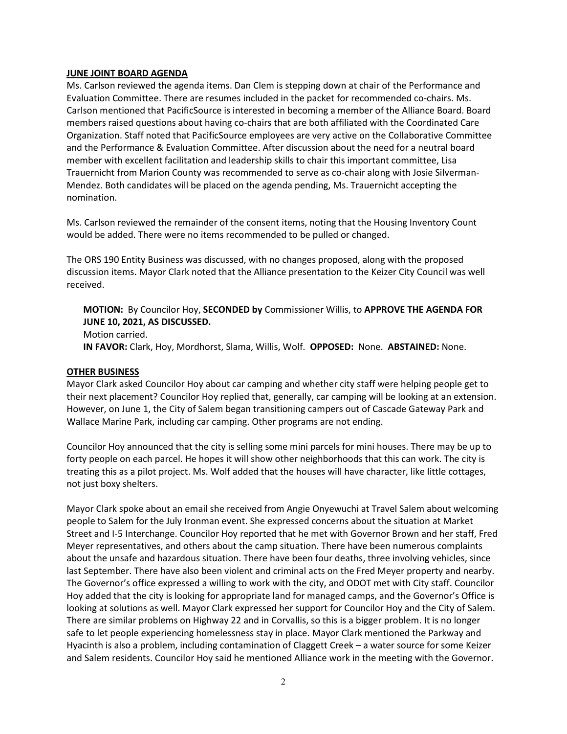## JUNE JOINT BOARD AGENDA

Ms. Carlson reviewed the agenda items. Dan Clem is stepping down at chair of the Performance and Evaluation Committee. There are resumes included in the packet for recommended co-chairs. Ms. Carlson mentioned that PacificSource is interested in becoming a member of the Alliance Board. Board members raised questions about having co-chairs that are both affiliated with the Coordinated Care Organization. Staff noted that PacificSource employees are very active on the Collaborative Committee and the Performance & Evaluation Committee. After discussion about the need for a neutral board member with excellent facilitation and leadership skills to chair this important committee, Lisa Trauernicht from Marion County was recommended to serve as co-chair along with Josie Silverman-Mendez. Both candidates will be placed on the agenda pending, Ms. Trauernicht accepting the nomination.

Ms. Carlson reviewed the remainder of the consent items, noting that the Housing Inventory Count would be added. There were no items recommended to be pulled or changed.

The ORS 190 Entity Business was discussed, with no changes proposed, along with the proposed discussion items. Mayor Clark noted that the Alliance presentation to the Keizer City Council was well received.

MOTION: By Councilor Hoy, SECONDED by Commissioner Willis, to APPROVE THE AGENDA FOR JUNE 10, 2021, AS DISCUSSED.

Motion carried. IN FAVOR: Clark, Hoy, Mordhorst, Slama, Willis, Wolf. OPPOSED: None. ABSTAINED: None.

## OTHER BUSINESS

Mayor Clark asked Councilor Hoy about car camping and whether city staff were helping people get to their next placement? Councilor Hoy replied that, generally, car camping will be looking at an extension. However, on June 1, the City of Salem began transitioning campers out of Cascade Gateway Park and Wallace Marine Park, including car camping. Other programs are not ending.

Councilor Hoy announced that the city is selling some mini parcels for mini houses. There may be up to forty people on each parcel. He hopes it will show other neighborhoods that this can work. The city is treating this as a pilot project. Ms. Wolf added that the houses will have character, like little cottages, not just boxy shelters.

Mayor Clark spoke about an email she received from Angie Onyewuchi at Travel Salem about welcoming people to Salem for the July Ironman event. She expressed concerns about the situation at Market Street and I-5 Interchange. Councilor Hoy reported that he met with Governor Brown and her staff, Fred Meyer representatives, and others about the camp situation. There have been numerous complaints about the unsafe and hazardous situation. There have been four deaths, three involving vehicles, since last September. There have also been violent and criminal acts on the Fred Meyer property and nearby. The Governor's office expressed a willing to work with the city, and ODOT met with City staff. Councilor Hoy added that the city is looking for appropriate land for managed camps, and the Governor's Office is looking at solutions as well. Mayor Clark expressed her support for Councilor Hoy and the City of Salem. There are similar problems on Highway 22 and in Corvallis, so this is a bigger problem. It is no longer safe to let people experiencing homelessness stay in place. Mayor Clark mentioned the Parkway and Hyacinth is also a problem, including contamination of Claggett Creek – a water source for some Keizer and Salem residents. Councilor Hoy said he mentioned Alliance work in the meeting with the Governor.